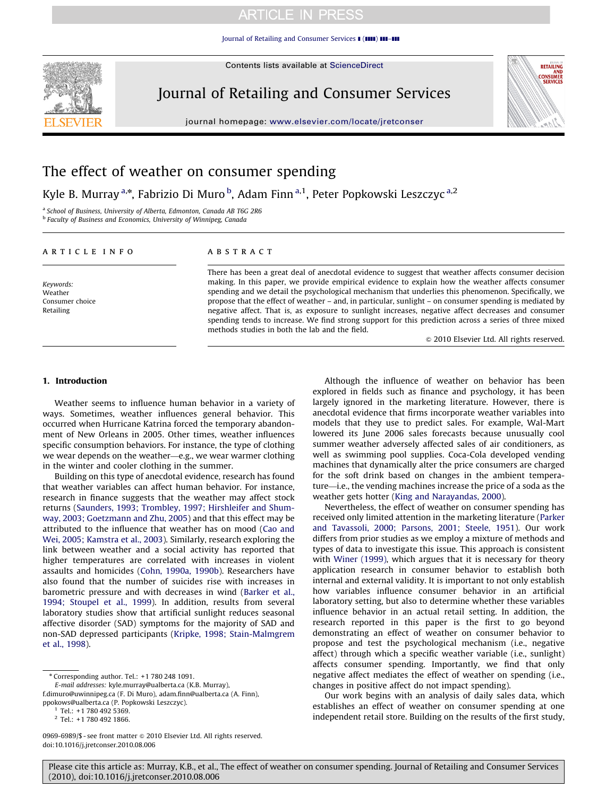[Journal of Retailing and Consumer Services](dx.doi.org/10.1016/j.jretconser.2010.08.006)  $\blacksquare$  ( $\blacksquare\blacksquare$ )  $\blacksquare\blacksquare$ 



Contents lists available at ScienceDirect

Journal of Retailing and Consumer Services



journal homepage: <www.elsevier.com/locate/jretconser>

# The effect of weather on consumer spending

Kyle B. Murray <sup>a,</sup>\*, Fabrizio Di Muro <sup>b</sup>, Adam Finn <sup>a,1</sup>, Peter Popkowski Leszczyc <sup>a,2</sup>

<sup>a</sup> School of Business, University of Alberta, Edmonton, Canada AB T6G 2R6 **b Faculty of Business and Economics, University of Winnipeg, Canada** 

## article info

Keywords: **Weather** Consumer choice Retailing

## ABSTRACT

There has been a great deal of anecdotal evidence to suggest that weather affects consumer decision making. In this paper, we provide empirical evidence to explain how the weather affects consumer spending and we detail the psychological mechanism that underlies this phenomenon. Specifically, we propose that the effect of weather – and, in particular, sunlight – on consumer spending is mediated by negative affect. That is, as exposure to sunlight increases, negative affect decreases and consumer spending tends to increase. We find strong support for this prediction across a series of three mixed methods studies in both the lab and the field.

 $\odot$  2010 Elsevier Ltd. All rights reserved.

#### 1. Introduction

Weather seems to influence human behavior in a variety of ways. Sometimes, weather influences general behavior. This occurred when Hurricane Katrina forced the temporary abandonment of New Orleans in 2005. Other times, weather influences specific consumption behaviors. For instance, the type of clothing we wear depends on the weather—e.g., we wear warmer clothing in the winter and cooler clothing in the summer.

Building on this type of anecdotal evidence, research has found that weather variables can affect human behavior. For instance, research in finance suggests that the weather may affect stock returns [\(Saunders, 1993; Trombley, 1997; Hirshleifer and Shum](#page-7-0)[way, 2003; Goetzmann and Zhu, 2005\)](#page-7-0) and that this effect may be attributed to the influence that weather has on mood ([Cao and](#page-7-0) [Wei, 2005; Kamstra et al., 2003](#page-7-0)). Similarly, research exploring the link between weather and a social activity has reported that higher temperatures are correlated with increases in violent assaults and homicides ([Cohn, 1990a, 1990b](#page-7-0)). Researchers have also found that the number of suicides rise with increases in barometric pressure and with decreases in wind ([Barker et al.,](#page-7-0) [1994; Stoupel et al., 1999](#page-7-0)). In addition, results from several laboratory studies show that artificial sunlight reduces seasonal affective disorder (SAD) symptoms for the majority of SAD and non-SAD depressed participants [\(Kripke, 1998; Stain-Malmgrem](#page-7-0) [et al., 1998](#page-7-0)).

[ppokows@ualberta.ca \(P. Popkowski Leszczyc\)](mailto:ppopkows@ualberta.ca).

0969-6989/\$ - see front matter  $\circ$  2010 Elsevier Ltd. All rights reserved. doi:[10.1016/j.jretconser.2010.08.006](dx.doi.org/10.1016/j.jretconser.2010.08.006)

Although the influence of weather on behavior has been explored in fields such as finance and psychology, it has been largely ignored in the marketing literature. However, there is anecdotal evidence that firms incorporate weather variables into models that they use to predict sales. For example, Wal-Mart lowered its June 2006 sales forecasts because unusually cool summer weather adversely affected sales of air conditioners, as well as swimming pool supplies. Coca-Cola developed vending machines that dynamically alter the price consumers are charged for the soft drink based on changes in the ambient temperature—i.e., the vending machines increase the price of a soda as the weather gets hotter ([King and Narayandas, 2000](#page-7-0)).

Nevertheless, the effect of weather on consumer spending has received only limited attention in the marketing literature ([Parker](#page-7-0) [and Tavassoli, 2000; Parsons, 2001; Steele, 1951](#page-7-0)). Our work differs from prior studies as we employ a mixture of methods and types of data to investigate this issue. This approach is consistent with [Winer \(1999\)](#page-8-0), which argues that it is necessary for theory application research in consumer behavior to establish both internal and external validity. It is important to not only establish how variables influence consumer behavior in an artificial laboratory setting, but also to determine whether these variables influence behavior in an actual retail setting. In addition, the research reported in this paper is the first to go beyond demonstrating an effect of weather on consumer behavior to propose and test the psychological mechanism (i.e., negative affect) through which a specific weather variable (i.e., sunlight) affects consumer spending. Importantly, we find that only negative affect mediates the effect of weather on spending (i.e., changes in positive affect do not impact spending).

Our work begins with an analysis of daily sales data, which establishes an effect of weather on consumer spending at one independent retail store. Building on the results of the first study,

<sup>n</sup> Corresponding author. Tel.: +1 780 248 1091.

E-mail addresses: [kyle.murray@ualberta.ca \(K.B. Murray\),](mailto:kyle.murray@ualberta.ca) [f.dimuro@uwinnipeg.ca \(F. Di Muro\),](mailto:f.dimuro@uwinnipeg.ca) [adam.finn@ualberta.ca \(A. Finn\),](mailto:adam.finn@ualberta.ca)

 $1$  Tel.: +1 780 492 5369.

<sup>2</sup> Tel.: +1 780 492 1866.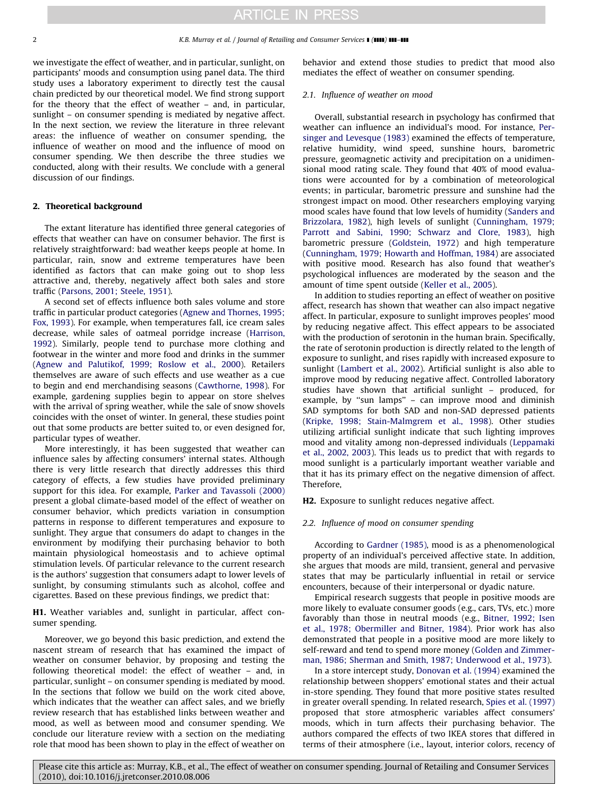we investigate the effect of weather, and in particular, sunlight, on participants' moods and consumption using panel data. The third study uses a laboratory experiment to directly test the causal chain predicted by our theoretical model. We find strong support for the theory that the effect of weather – and, in particular, sunlight – on consumer spending is mediated by negative affect. In the next section, we review the literature in three relevant areas: the influence of weather on consumer spending, the influence of weather on mood and the influence of mood on consumer spending. We then describe the three studies we conducted, along with their results. We conclude with a general discussion of our findings.

## 2. Theoretical background

The extant literature has identified three general categories of effects that weather can have on consumer behavior. The first is relatively straightforward: bad weather keeps people at home. In particular, rain, snow and extreme temperatures have been identified as factors that can make going out to shop less attractive and, thereby, negatively affect both sales and store traffic [\(Parsons, 2001; Steele, 1951\)](#page-7-0).

A second set of effects influence both sales volume and store traffic in particular product categories [\(Agnew and Thornes, 1995;](#page-7-0) [Fox, 1993](#page-7-0)). For example, when temperatures fall, ice cream sales decrease, while sales of oatmeal porridge increase ([Harrison,](#page-7-0) [1992](#page-7-0)). Similarly, people tend to purchase more clothing and footwear in the winter and more food and drinks in the summer ([Agnew and Palutikof, 1999; Roslow et al., 2000\)](#page-7-0). Retailers themselves are aware of such effects and use weather as a cue to begin and end merchandising seasons [\(Cawthorne, 1998\)](#page-7-0). For example, gardening supplies begin to appear on store shelves with the arrival of spring weather, while the sale of snow shovels coincides with the onset of winter. In general, these studies point out that some products are better suited to, or even designed for, particular types of weather.

More interestingly, it has been suggested that weather can influence sales by affecting consumers' internal states. Although there is very little research that directly addresses this third category of effects, a few studies have provided preliminary support for this idea. For example, [Parker and Tavassoli \(2000\)](#page-7-0) present a global climate-based model of the effect of weather on consumer behavior, which predicts variation in consumption patterns in response to different temperatures and exposure to sunlight. They argue that consumers do adapt to changes in the environment by modifying their purchasing behavior to both maintain physiological homeostasis and to achieve optimal stimulation levels. Of particular relevance to the current research is the authors' suggestion that consumers adapt to lower levels of sunlight, by consuming stimulants such as alcohol, coffee and cigarettes. Based on these previous findings, we predict that:

H1. Weather variables and, sunlight in particular, affect consumer spending.

Moreover, we go beyond this basic prediction, and extend the nascent stream of research that has examined the impact of weather on consumer behavior, by proposing and testing the following theoretical model: the effect of weather – and, in particular, sunlight – on consumer spending is mediated by mood. In the sections that follow we build on the work cited above, which indicates that the weather can affect sales, and we briefly review research that has established links between weather and mood, as well as between mood and consumer spending. We conclude our literature review with a section on the mediating role that mood has been shown to play in the effect of weather on behavior and extend those studies to predict that mood also mediates the effect of weather on consumer spending.

## 2.1. Influence of weather on mood

Overall, substantial research in psychology has confirmed that weather can influence an individual's mood. For instance, [Per](#page-7-0)[singer and Levesque \(1983\)](#page-7-0) examined the effects of temperature, relative humidity, wind speed, sunshine hours, barometric pressure, geomagnetic activity and precipitation on a unidimensional mood rating scale. They found that 40% of mood evaluations were accounted for by a combination of meteorological events; in particular, barometric pressure and sunshine had the strongest impact on mood. Other researchers employing varying mood scales have found that low levels of humidity [\(Sanders and](#page-7-0) [Brizzolara, 1982\)](#page-7-0), high levels of sunlight ([Cunningham, 1979;](#page-7-0) [Parrott and Sabini, 1990; Schwarz and Clore, 1983](#page-7-0)), high barometric pressure ([Goldstein, 1972](#page-7-0)) and high temperature ([Cunningham, 1979; Howarth and Hoffman, 1984](#page-7-0)) are associated with positive mood. Research has also found that weather's psychological influences are moderated by the season and the amount of time spent outside ([Keller et al., 2005](#page-7-0)).

In addition to studies reporting an effect of weather on positive affect, research has shown that weather can also impact negative affect. In particular, exposure to sunlight improves peoples' mood by reducing negative affect. This effect appears to be associated with the production of serotonin in the human brain. Specifically, the rate of serotonin production is directly related to the length of exposure to sunlight, and rises rapidly with increased exposure to sunlight [\(Lambert et al., 2002](#page-7-0)). Artificial sunlight is also able to improve mood by reducing negative affect. Controlled laboratory studies have shown that artificial sunlight – produced, for example, by ''sun lamps'' – can improve mood and diminish SAD symptoms for both SAD and non-SAD depressed patients ([Kripke, 1998; Stain-Malmgrem et al., 1998\)](#page-7-0). Other studies utilizing artificial sunlight indicate that such lighting improves mood and vitality among non-depressed individuals [\(Leppamaki](#page-7-0) [et al., 2002, 2003\)](#page-7-0). This leads us to predict that with regards to mood sunlight is a particularly important weather variable and that it has its primary effect on the negative dimension of affect. Therefore,

H2. Exposure to sunlight reduces negative affect.

## 2.2. Influence of mood on consumer spending

According to [Gardner \(1985\)](#page-7-0), mood is as a phenomenological property of an individual's perceived affective state. In addition, she argues that moods are mild, transient, general and pervasive states that may be particularly influential in retail or service encounters, because of their interpersonal or dyadic nature.

Empirical research suggests that people in positive moods are more likely to evaluate consumer goods (e.g., cars, TVs, etc.) more favorably than those in neutral moods (e.g., [Bitner, 1992; Isen](#page-7-0) [et al., 1978; Obermiller and Bitner, 1984\)](#page-7-0). Prior work has also demonstrated that people in a positive mood are more likely to self-reward and tend to spend more money [\(Golden and Zimmer](#page-7-0)[man, 1986; Sherman and Smith, 1987; Underwood et al., 1973\)](#page-7-0).

In a store intercept study, [Donovan et al. \(1994\)](#page-7-0) examined the relationship between shoppers' emotional states and their actual in-store spending. They found that more positive states resulted in greater overall spending. In related research, [Spies et al. \(1997\)](#page-8-0) proposed that store atmospheric variables affect consumers' moods, which in turn affects their purchasing behavior. The authors compared the effects of two IKEA stores that differed in terms of their atmosphere (i.e., layout, interior colors, recency of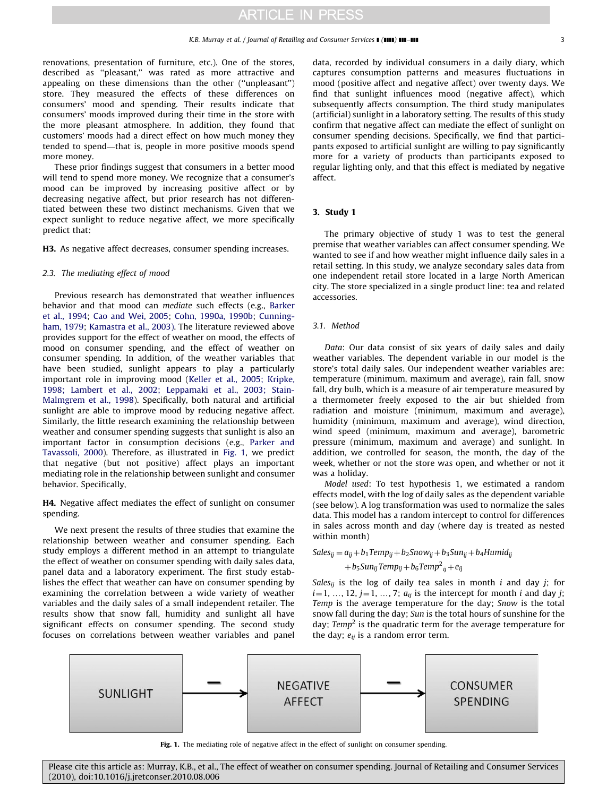<span id="page-2-0"></span>renovations, presentation of furniture, etc.). One of the stores, described as ''pleasant,'' was rated as more attractive and appealing on these dimensions than the other (''unpleasant'') store. They measured the effects of these differences on consumers' mood and spending. Their results indicate that consumers' moods improved during their time in the store with the more pleasant atmosphere. In addition, they found that customers' moods had a direct effect on how much money they tended to spend—that is, people in more positive moods spend more money.

These prior findings suggest that consumers in a better mood will tend to spend more money. We recognize that a consumer's mood can be improved by increasing positive affect or by decreasing negative affect, but prior research has not differentiated between these two distinct mechanisms. Given that we expect sunlight to reduce negative affect, we more specifically predict that:

H3. As negative affect decreases, consumer spending increases.

### 2.3. The mediating effect of mood

Previous research has demonstrated that weather influences behavior and that mood can mediate such effects (e.g., [Barker](#page-7-0) [et al., 1994;](#page-7-0) [Cao and Wei, 2005;](#page-7-0) [Cohn, 1990a, 1990b;](#page-7-0) [Cunning](#page-7-0)[ham, 1979](#page-7-0); [Kamastra et al., 2003\)](#page-7-0). The literature reviewed above provides support for the effect of weather on mood, the effects of mood on consumer spending, and the effect of weather on consumer spending. In addition, of the weather variables that have been studied, sunlight appears to play a particularly important role in improving mood [\(Keller et al., 2005; Kripke,](#page-7-0) [1998; Lambert et al., 2002; Leppamaki et al., 2003; Stain-](#page-7-0)[Malmgrem et al., 1998](#page-7-0)). Specifically, both natural and artificial sunlight are able to improve mood by reducing negative affect. Similarly, the little research examining the relationship between weather and consumer spending suggests that sunlight is also an important factor in consumption decisions (e.g., [Parker and](#page-7-0) [Tavassoli, 2000\)](#page-7-0). Therefore, as illustrated in Fig. 1, we predict that negative (but not positive) affect plays an important mediating role in the relationship between sunlight and consumer behavior. Specifically,

H4. Negative affect mediates the effect of sunlight on consumer spending.

We next present the results of three studies that examine the relationship between weather and consumer spending. Each study employs a different method in an attempt to triangulate the effect of weather on consumer spending with daily sales data, panel data and a laboratory experiment. The first study establishes the effect that weather can have on consumer spending by examining the correlation between a wide variety of weather variables and the daily sales of a small independent retailer. The results show that snow fall, humidity and sunlight all have significant effects on consumer spending. The second study focuses on correlations between weather variables and panel

data, recorded by individual consumers in a daily diary, which captures consumption patterns and measures fluctuations in mood (positive affect and negative affect) over twenty days. We find that sunlight influences mood (negative affect), which subsequently affects consumption. The third study manipulates (artificial) sunlight in a laboratory setting. The results of this study confirm that negative affect can mediate the effect of sunlight on consumer spending decisions. Specifically, we find that participants exposed to artificial sunlight are willing to pay significantly more for a variety of products than participants exposed to regular lighting only, and that this effect is mediated by negative affect.

## 3. Study 1

The primary objective of study 1 was to test the general premise that weather variables can affect consumer spending. We wanted to see if and how weather might influence daily sales in a retail setting. In this study, we analyze secondary sales data from one independent retail store located in a large North American city. The store specialized in a single product line: tea and related accessories.

## 3.1. Method

Data: Our data consist of six years of daily sales and daily weather variables. The dependent variable in our model is the store's total daily sales. Our independent weather variables are: temperature (minimum, maximum and average), rain fall, snow fall, dry bulb, which is a measure of air temperature measured by a thermometer freely exposed to the air but shielded from radiation and moisture (minimum, maximum and average), humidity (minimum, maximum and average), wind direction, wind speed (minimum, maximum and average), barometric pressure (minimum, maximum and average) and sunlight. In addition, we controlled for season, the month, the day of the week, whether or not the store was open, and whether or not it was a holiday.

Model used: To test hypothesis 1, we estimated a random effects model, with the log of daily sales as the dependent variable (see below). A log transformation was used to normalize the sales data. This model has a random intercept to control for differences in sales across month and day (where day is treated as nested within month)

 $Sales_{ij} = a_{ij} + b_1Temp_{ij} + b_2Show_{ij} + b_3Sun_{ij} + b_4Humid_{ij}$  $b_5$ Sun<sub>ij</sub> Temp<sub>ij</sub> + b<sub>6</sub>Temp<sup>2</sup><sub>ij</sub> + e<sub>ij</sub>

Sales<sub>ij</sub> is the log of daily tea sales in month *i* and day *j*; for  $i=1, ..., 12, j=1, ..., 7; a_{ij}$  is the intercept for month *i* and day *j*; Temp is the average temperature for the day; Snow is the total snow fall during the day; Sun is the total hours of sunshine for the day; Temp<sup>2</sup> is the quadratic term for the average temperature for the day;  $e_{ij}$  is a random error term.



Fig. 1. The mediating role of negative affect in the effect of sunlight on consumer spending.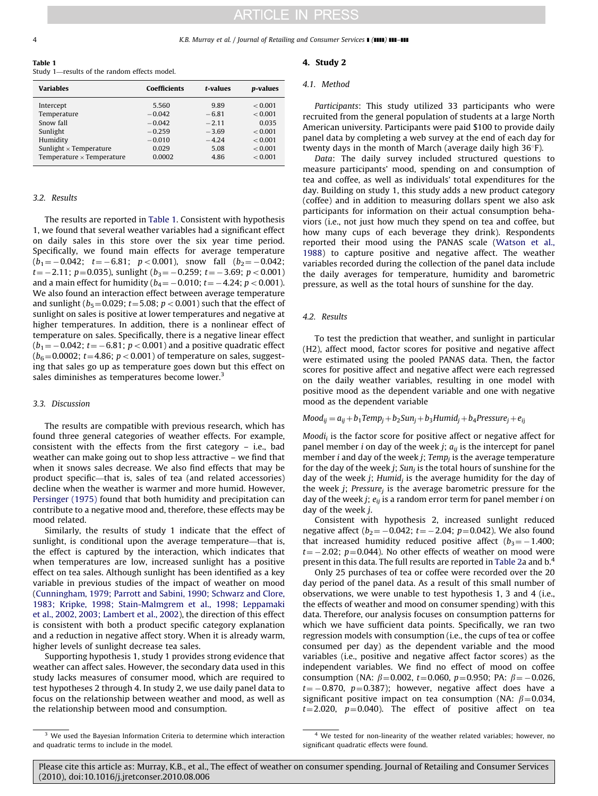### 4 K.B. Murray et al. / Journal of Retailing and Consumer Services **[(1111) 111-111**

## Table 1

Study 1—results of the random effects model.

| Variables                        | Coefficients | t-values | <i>p</i> -values |
|----------------------------------|--------------|----------|------------------|
| Intercept                        | 5.560        | 9.89     | < 0.001          |
| Temperature                      | $-0.042$     | $-6.81$  | < 0.001          |
| Snow fall                        | $-0.042$     | $-2.11$  | 0.035            |
| Sunlight                         | $-0.259$     | $-3.69$  | < 0.001          |
| Humidity                         | $-0.010$     | $-4.24$  | < 0.001          |
| Sunlight $\times$ Temperature    | 0.029        | 5.08     | < 0.001          |
| Temperature $\times$ Temperature | 0.0002       | 4.86     | < 0.001          |
|                                  |              |          |                  |

## 3.2. Results

The results are reported in Table 1. Consistent with hypothesis 1, we found that several weather variables had a significant effect on daily sales in this store over the six year time period. Specifically, we found main effects for average temperature  $(b_1 = -0.042; t = -6.81; p < 0.001)$ , snow fall  $(b_2 = -0.042;$  $t$ = –2.11; p=0.035), sunlight (b $_3$ = –0.259; t = –3.69; p < 0.001) and a main effect for humidity ( $b_4\hspace{-0.05cm}=\hspace{-0.05cm}-0.010;$   $t\hspace{-0.05cm}=\hspace{-0.05cm}-4.24;$   $p$   $<$  0.001). We also found an interaction effect between average temperature and sunlight ( $b_5$ =0.029; t=5.08; p < 0.001) such that the effect of sunlight on sales is positive at lower temperatures and negative at higher temperatures. In addition, there is a nonlinear effect of temperature on sales. Specifically, there is a negative linear effect  $(b_1\hspace{-0.05cm}=\hspace{-0.05cm}-0.042; t\hspace{-0.05cm}=\hspace{-0.05cm}-6.81; p\hspace{-0.05cm}<\hspace{-0.05cm}0.001)$  and a positive quadratic effect  $(b_6=0.0002; t=4.86; p<0.001)$  of temperature on sales, suggesting that sales go up as temperature goes down but this effect on sales diminishes as temperatures become lower.<sup>3</sup>

## 3.3. Discussion

The results are compatible with previous research, which has found three general categories of weather effects. For example, consistent with the effects from the first category – i.e., bad weather can make going out to shop less attractive – we find that when it snows sales decrease. We also find effects that may be product specific—that is, sales of tea (and related accessories) decline when the weather is warmer and more humid. However, [Persinger \(1975\)](#page-7-0) found that both humidity and precipitation can contribute to a negative mood and, therefore, these effects may be mood related.

Similarly, the results of study 1 indicate that the effect of sunlight, is conditional upon the average temperature—that is, the effect is captured by the interaction, which indicates that when temperatures are low, increased sunlight has a positive effect on tea sales. Although sunlight has been identified as a key variable in previous studies of the impact of weather on mood ([Cunningham, 1979; Parrott and Sabini, 1990; Schwarz and Clore,](#page-7-0) [1983; Kripke, 1998; Stain-Malmgrem et al., 1998; Leppamaki](#page-7-0) [et al., 2002, 2003; Lambert et al., 2002](#page-7-0)), the direction of this effect is consistent with both a product specific category explanation and a reduction in negative affect story. When it is already warm, higher levels of sunlight decrease tea sales.

Supporting hypothesis 1, study 1 provides strong evidence that weather can affect sales. However, the secondary data used in this study lacks measures of consumer mood, which are required to test hypotheses 2 through 4. In study 2, we use daily panel data to focus on the relationship between weather and mood, as well as the relationship between mood and consumption.

## 4. Study 2

## 4.1. Method

Participants: This study utilized 33 participants who were recruited from the general population of students at a large North American university. Participants were paid \$100 to provide daily panel data by completing a web survey at the end of each day for twenty days in the month of March (average daily high  $36^{\circ}$ F).

Data: The daily survey included structured questions to measure participants' mood, spending on and consumption of tea and coffee, as well as individuals' total expenditures for the day. Building on study 1, this study adds a new product category (coffee) and in addition to measuring dollars spent we also ask participants for information on their actual consumption behaviors (i.e., not just how much they spend on tea and coffee, but how many cups of each beverage they drink). Respondents reported their mood using the PANAS scale [\(Watson et al.,](#page-8-0) [1988\)](#page-8-0) to capture positive and negative affect. The weather variables recorded during the collection of the panel data include the daily averages for temperature, humidity and barometric pressure, as well as the total hours of sunshine for the day.

## 4.2. Results

To test the prediction that weather, and sunlight in particular (H2), affect mood, factor scores for positive and negative affect were estimated using the pooled PANAS data. Then, the factor scores for positive affect and negative affect were each regressed on the daily weather variables, resulting in one model with positive mood as the dependent variable and one with negative mood as the dependent variable

## $Mood_{ij} = a_{ij} + b_1Temp_j + b_2Sun_j + b_3Humid_j + b_4Pressure_j + e_{ij}$

 $Moodi<sub>i</sub>$  is the factor score for positive affect or negative affect for panel member *i* on day of the week *j*;  $a_{ii}$  is the intercept for panel member *i* and day of the week *j*; Temp<sub>i</sub> is the average temperature for the day of the week j; Sun<sub>i</sub> is the total hours of sunshine for the day of the week j; Humid<sub>i</sub> is the average humidity for the day of the week j; Pressure $_i$  is the average barometric pressure for the day of the week j;  $e_{ii}$  is a random error term for panel member i on day of the week j.

Consistent with hypothesis 2, increased sunlight reduced negative affect ( $b_2 = -0.042$ ;  $t = -2.04$ ;  $p = 0.042$ ). We also found that increased humidity reduced positive affect  $(b_3 = -1.400;$  $t = -2.02$ ;  $p = 0.044$ ). No other effects of weather on mood were present in this data. The full results are reported in [Table 2](#page-4-0)a and b.<sup>4</sup>

Only 25 purchases of tea or coffee were recorded over the 20 day period of the panel data. As a result of this small number of observations, we were unable to test hypothesis 1, 3 and 4 (i.e., the effects of weather and mood on consumer spending) with this data. Therefore, our analysis focuses on consumption patterns for which we have sufficient data points. Specifically, we ran two regression models with consumption (i.e., the cups of tea or coffee consumed per day) as the dependent variable and the mood variables (i.e., positive and negative affect factor scores) as the independent variables. We find no effect of mood on coffee consumption (NA:  $\beta = 0.002$ , t = 0.060, p = 0.950; PA:  $\beta = -0.026$ ,  $t = -0.870$ ,  $p = 0.387$ ); however, negative affect does have a significant positive impact on tea consumption (NA:  $\beta$  = 0.034,  $t=2.020$ ,  $p=0.040$ ). The effect of positive affect on tea

<sup>&</sup>lt;sup>3</sup> We used the Bayesian Information Criteria to determine which interaction and quadratic terms to include in the model.

<sup>4</sup> We tested for non-linearity of the weather related variables; however, no significant quadratic effects were found.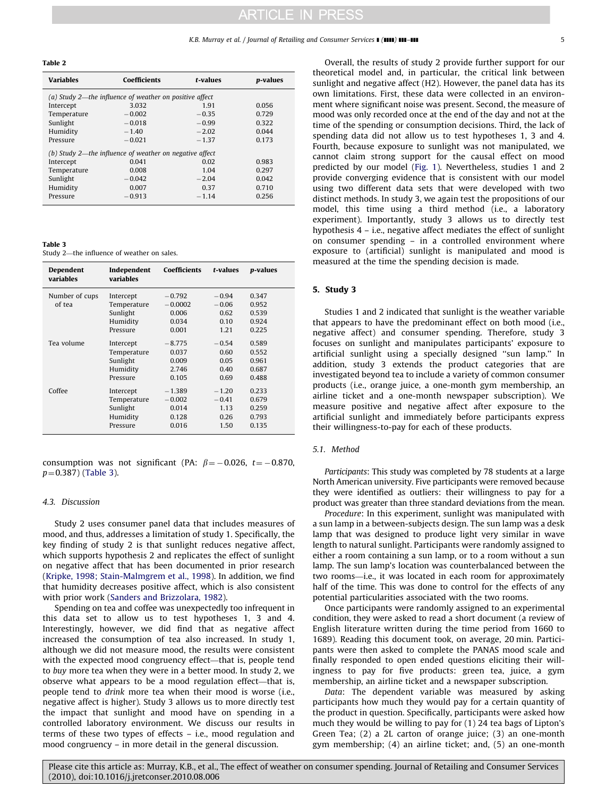## K.B. Murray et al. / Journal of Retailing and Consumer Services  $\blacksquare$  (IIII) III–III **111 111 111 111 111 111 111 111 111 111 111 111 111 111 111 111 111 111 111 111 111 111 111**

### <span id="page-4-0"></span>Table 2

| <b>Variables</b>                                          | <b>Coefficients</b> | t-values | <i>p</i> -values |  |  |
|-----------------------------------------------------------|---------------------|----------|------------------|--|--|
| $(a)$ Study 2—the influence of weather on positive affect |                     |          |                  |  |  |
| Intercept                                                 | 3.032               | 1.91     | 0.056            |  |  |
| Temperature                                               | $-0.002$            | $-0.35$  | 0.729            |  |  |
| Sunlight                                                  | $-0.018$            | $-0.99$  | 0.322            |  |  |
| Humidity                                                  | $-1.40$             | $-2.02$  | 0.044            |  |  |
| Pressure                                                  | $-0.021$            | $-1.37$  | 0.173            |  |  |
| (b) Study 2—the influence of weather on negative affect   |                     |          |                  |  |  |
| Intercept                                                 | 0.041               | 0.02     | 0.983            |  |  |
| Temperature                                               | 0.008               | 1.04     | 0.297            |  |  |
| Sunlight                                                  | $-0.042$            | $-2.04$  | 0.042            |  |  |
| Humidity                                                  | 0.007               | 0.37     | 0.710            |  |  |
| Pressure                                                  | $-0.913$            | $-1.14$  | 0.256            |  |  |

Table 3

Study 2—the influence of weather on sales.

| Dependent<br>variables | Independent<br>variables | Coefficients | t-values | <i>p</i> -values |
|------------------------|--------------------------|--------------|----------|------------------|
| Number of cups         | Intercept                | $-0.792$     | $-0.94$  | 0.347            |
| of tea                 | Temperature              | $-0.0002$    | $-0.06$  | 0.952            |
|                        | Sunlight                 | 0.006        | 0.62     | 0.539            |
|                        | Humidity                 | 0.034        | 0.10     | 0.924            |
|                        | Pressure                 | 0.001        | 1.21     | 0.225            |
| Tea volume             | Intercept                | $-8.775$     | $-0.54$  | 0.589            |
|                        | Temperature              | 0.037        | 0.60     | 0.552            |
|                        | Sunlight                 | 0.009        | 0.05     | 0.961            |
|                        | Humidity                 | 2.746        | 0.40     | 0.687            |
|                        | Pressure                 | 0.105        | 0.69     | 0.488            |
| Coffee                 | Intercept                | $-1.389$     | $-1.20$  | 0.233            |
|                        | Temperature              | $-0.002$     | $-0.41$  | 0.679            |
|                        | Sunlight                 | 0.014        | 1.13     | 0.259            |
|                        | Humidity                 | 0.128        | 0.26     | 0.793            |
|                        | Pressure                 | 0.016        | 1.50     | 0.135            |

consumption was not significant (PA:  $\beta = -0.026$ ,  $t = -0.870$ ,  $p=0.387$ ) (Table 3).

## 4.3. Discussion

Study 2 uses consumer panel data that includes measures of mood, and thus, addresses a limitation of study 1. Specifically, the key finding of study 2 is that sunlight reduces negative affect, which supports hypothesis 2 and replicates the effect of sunlight on negative affect that has been documented in prior research ([Kripke, 1998; Stain-Malmgrem et al., 1998](#page-7-0)). In addition, we find that humidity decreases positive affect, which is also consistent with prior work [\(Sanders and Brizzolara, 1982\)](#page-7-0).

Spending on tea and coffee was unexpectedly too infrequent in this data set to allow us to test hypotheses 1, 3 and 4. Interestingly, however, we did find that as negative affect increased the consumption of tea also increased. In study 1, although we did not measure mood, the results were consistent with the expected mood congruency effect—that is, people tend to buy more tea when they were in a better mood. In study 2, we observe what appears to be a mood regulation effect—that is, people tend to drink more tea when their mood is worse (i.e., negative affect is higher). Study 3 allows us to more directly test the impact that sunlight and mood have on spending in a controlled laboratory environment. We discuss our results in terms of these two types of effects – i.e., mood regulation and mood congruency – in more detail in the general discussion.

Overall, the results of study 2 provide further support for our theoretical model and, in particular, the critical link between sunlight and negative affect (H2). However, the panel data has its own limitations. First, these data were collected in an environment where significant noise was present. Second, the measure of mood was only recorded once at the end of the day and not at the time of the spending or consumption decisions. Third, the lack of spending data did not allow us to test hypotheses 1, 3 and 4. Fourth, because exposure to sunlight was not manipulated, we cannot claim strong support for the causal effect on mood predicted by our model [\(Fig. 1](#page-2-0)). Nevertheless, studies 1 and 2 provide converging evidence that is consistent with our model using two different data sets that were developed with two distinct methods. In study 3, we again test the propositions of our model, this time using a third method (i.e., a laboratory experiment). Importantly, study 3 allows us to directly test hypothesis 4 – i.e., negative affect mediates the effect of sunlight on consumer spending – in a controlled environment where exposure to (artificial) sunlight is manipulated and mood is measured at the time the spending decision is made.

## 5. Study 3

Studies 1 and 2 indicated that sunlight is the weather variable that appears to have the predominant effect on both mood (i.e., negative affect) and consumer spending. Therefore, study 3 focuses on sunlight and manipulates participants' exposure to artificial sunlight using a specially designed ''sun lamp.'' In addition, study 3 extends the product categories that are investigated beyond tea to include a variety of common consumer products (i.e., orange juice, a one-month gym membership, an airline ticket and a one-month newspaper subscription). We measure positive and negative affect after exposure to the artificial sunlight and immediately before participants express their willingness-to-pay for each of these products.

## 5.1. Method

Participants: This study was completed by 78 students at a large North American university. Five participants were removed because they were identified as outliers: their willingness to pay for a product was greater than three standard deviations from the mean.

Procedure: In this experiment, sunlight was manipulated with a sun lamp in a between-subjects design. The sun lamp was a desk lamp that was designed to produce light very similar in wave length to natural sunlight. Participants were randomly assigned to either a room containing a sun lamp, or to a room without a sun lamp. The sun lamp's location was counterbalanced between the two rooms—i.e., it was located in each room for approximately half of the time. This was done to control for the effects of any potential particularities associated with the two rooms.

Once participants were randomly assigned to an experimental condition, they were asked to read a short document (a review of English literature written during the time period from 1660 to 1689). Reading this document took, on average, 20 min. Participants were then asked to complete the PANAS mood scale and finally responded to open ended questions eliciting their willingness to pay for five products: green tea, juice, a gym membership, an airline ticket and a newspaper subscription.

Data: The dependent variable was measured by asking participants how much they would pay for a certain quantity of the product in question. Specifically, participants were asked how much they would be willing to pay for (1) 24 tea bags of Lipton's Green Tea; (2) a 2L carton of orange juice; (3) an one-month gym membership; (4) an airline ticket; and, (5) an one-month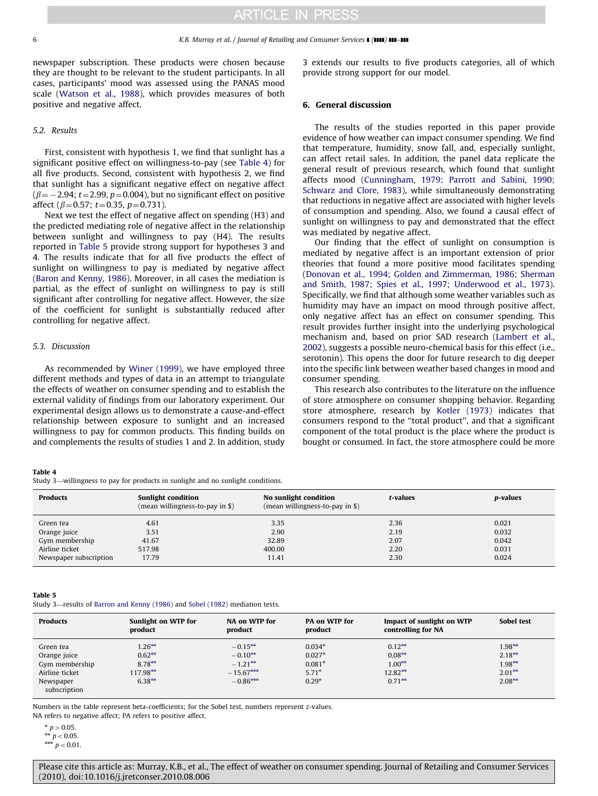newspaper subscription. These products were chosen because they are thought to be relevant to the student participants. In all cases, participants' mood was assessed using the PANAS mood scale [\(Watson et al., 1988](#page-8-0)), which provides measures of both positive and negative affect.

## 5.2. Results

First, consistent with hypothesis 1, we find that sunlight has a significant positive effect on willingness-to-pay (see Table 4) for all five products. Second, consistent with hypothesis 2, we find that sunlight has a significant negative effect on negative affect ( $\beta$ = – 2.94; t=2.99, p=0.004), but no significant effect on positive affect ( $\beta$ =0.57; t=0.35, p=0.731).

Next we test the effect of negative affect on spending (H3) and the predicted mediating role of negative affect in the relationship between sunlight and willingness to pay (H4). The results reported in Table 5 provide strong support for hypotheses 3 and 4. The results indicate that for all five products the effect of sunlight on willingness to pay is mediated by negative affect ([Baron and Kenny, 1986](#page-7-0)). Moreover, in all cases the mediation is partial, as the effect of sunlight on willingness to pay is still significant after controlling for negative affect. However, the size of the coefficient for sunlight is substantially reduced after controlling for negative affect.

## 5.3. Discussion

As recommended by [Winer \(1999\),](#page-8-0) we have employed three different methods and types of data in an attempt to triangulate the effects of weather on consumer spending and to establish the external validity of findings from our laboratory experiment. Our experimental design allows us to demonstrate a cause-and-effect relationship between exposure to sunlight and an increased willingness to pay for common products. This finding builds on and complements the results of studies 1 and 2. In addition, study 3 extends our results to five products categories, all of which provide strong support for our model.

#### 6. General discussion

The results of the studies reported in this paper provide evidence of how weather can impact consumer spending. We find that temperature, humidity, snow fall, and, especially sunlight, can affect retail sales. In addition, the panel data replicate the general result of previous research, which found that sunlight affects mood ([Cunningham, 1979; Parrott and Sabini, 1990;](#page-7-0) [Schwarz and Clore, 1983](#page-7-0)), while simultaneously demonstrating that reductions in negative affect are associated with higher levels of consumption and spending. Also, we found a causal effect of sunlight on willingness to pay and demonstrated that the effect was mediated by negative affect.

Our finding that the effect of sunlight on consumption is mediated by negative affect is an important extension of prior theories that found a more positive mood facilitates spending ([Donovan et al., 1994; Golden and Zimmerman, 1986; Sherman](#page-7-0) [and Smith, 1987; Spies et al., 1997; Underwood et al., 1973\)](#page-7-0). Specifically, we find that although some weather variables such as humidity may have an impact on mood through positive affect, only negative affect has an effect on consumer spending. This result provides further insight into the underlying psychological mechanism and, based on prior SAD research [\(Lambert et al.,](#page-7-0) [2002\)](#page-7-0), suggests a possible neuro-chemical basis for this effect (i.e., serotonin). This opens the door for future research to dig deeper into the specific link between weather based changes in mood and consumer spending.

This research also contributes to the literature on the influence of store atmosphere on consumer shopping behavior. Regarding store atmosphere, research by [Kotler \(1973\)](#page-7-0) indicates that consumers respond to the ''total product'', and that a significant component of the total product is the place where the product is bought or consumed. In fact, the store atmosphere could be more

#### Table 4

Study 3—willingness to pay for products in sunlight and no sunlight conditions.

| <b>Products</b>        | <b>Sunlight condition</b><br>(mean willingness-to-pay in \$) | No sunlight condition<br>(mean willingness-to-pay in \$) | t-values | <i>p</i> -values |
|------------------------|--------------------------------------------------------------|----------------------------------------------------------|----------|------------------|
| Green tea              | 4.61                                                         | 3.35                                                     | 2.36     | 0.021            |
| Orange juice           | 3.51                                                         | 2.90                                                     | 2.19     | 0.032            |
| Gym membership         | 41.67                                                        | 32.89                                                    | 2.07     | 0.042            |
| Airline ticket         | 517.98                                                       | 400.00                                                   | 2.20     | 0.031            |
| Newspaper subscription | 17.79                                                        | 11.41                                                    | 2.30     | 0.024            |

Table 5

Study 3—results of [Barron and Kenny \(1986\)](#page-7-0) and [Sobel \(1982\)](#page-8-0) mediation tests.

| <b>Products</b> | Sunlight on WTP for<br>product | NA on WTP for<br>product | <b>PA on WTP for</b><br>product | Impact of sunlight on WTP<br>controlling for NA | Sobel test |
|-----------------|--------------------------------|--------------------------|---------------------------------|-------------------------------------------------|------------|
| Green tea       | $1.26***$                      | $-0.15***$               | $0.034*$                        | $0.12***$                                       | $1.98***$  |
| Orange juice    | $0.62***$                      | $-0.10**$                | $0.027*$                        | $0.08***$                                       | $2.18***$  |
| Gym membership  | $8.78***$                      | $-1.21***$               | $0.081*$                        | $1.00**$                                        | $1.98***$  |
| Airline ticket  | 117.98**                       | $-15.67***$              | $5.71*$                         | $12.82***$                                      | $2.01***$  |
| Newspaper       | $6.38***$                      | $-0.86***$               | $0.29*$                         | $0.71***$                                       | $2.08***$  |
| subscription    |                                |                          |                                 |                                                 |            |

Numbers in the table represent beta-coefficients; for the Sobel test, numbers represent z-values.

NA refers to negative affect; PA refers to positive affect.

 $\begin{array}{c} * \ {p > 0.05}, \\{*} \end{array}$ 

\*\*\*  $p < 0.01$ .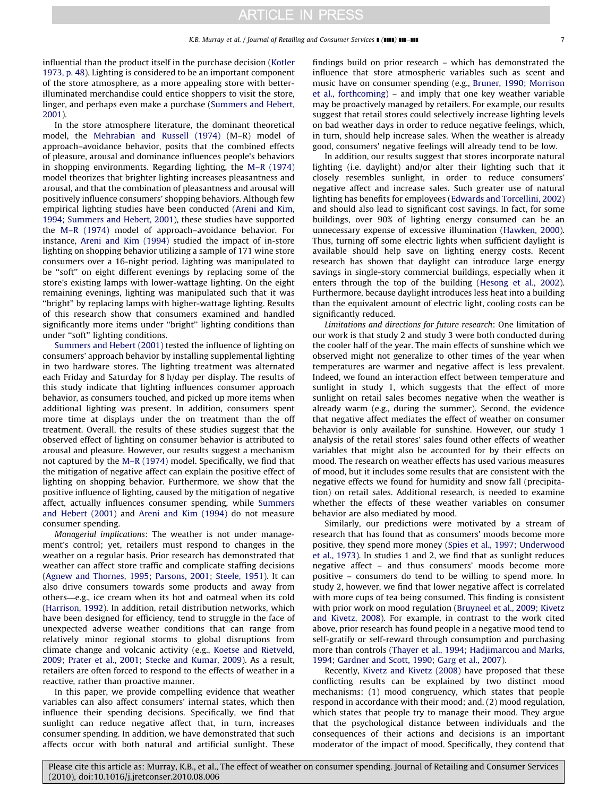influential than the product itself in the purchase decision [\(Kotler](#page-7-0) [1973, p. 48\)](#page-7-0). Lighting is considered to be an important component of the store atmosphere, as a more appealing store with betterilluminated merchandise could entice shoppers to visit the store, linger, and perhaps even make a purchase [\(Summers and Hebert,](#page-8-0) [2001\)](#page-8-0).

In the store atmosphere literature, the dominant theoretical model, the [Mehrabian and Russell \(1974\)](#page-7-0) (M–R) model of approach–avoidance behavior, posits that the combined effects of pleasure, arousal and dominance influences people's behaviors in shopping environments. Regarding lighting, the [M–R \(1974\)](#page-7-0) model theorizes that brighter lighting increases pleasantness and arousal, and that the combination of pleasantness and arousal will positively influence consumers' shopping behaviors. Although few empirical lighting studies have been conducted ([Areni and Kim,](#page-7-0) [1994; Summers and Hebert, 2001](#page-7-0)), these studies have supported the [M–R \(1974\)](#page-7-0) model of approach–avoidance behavior. For instance, [Areni and Kim \(1994\)](#page-7-0) studied the impact of in-store lighting on shopping behavior utilizing a sample of 171 wine store consumers over a 16-night period. Lighting was manipulated to be ''soft'' on eight different evenings by replacing some of the store's existing lamps with lower-wattage lighting. On the eight remaining evenings, lighting was manipulated such that it was ''bright'' by replacing lamps with higher-wattage lighting. Results of this research show that consumers examined and handled significantly more items under ''bright'' lighting conditions than under ''soft'' lighting conditions.

[Summers and Hebert \(2001\)](#page-8-0) tested the influence of lighting on consumers' approach behavior by installing supplemental lighting in two hardware stores. The lighting treatment was alternated each Friday and Saturday for 8 h/day per display. The results of this study indicate that lighting influences consumer approach behavior, as consumers touched, and picked up more items when additional lighting was present. In addition, consumers spent more time at displays under the on treatment than the off treatment. Overall, the results of these studies suggest that the observed effect of lighting on consumer behavior is attributed to arousal and pleasure. However, our results suggest a mechanism not captured by the [M–R \(1974\)](#page-7-0) model. Specifically, we find that the mitigation of negative affect can explain the positive effect of lighting on shopping behavior. Furthermore, we show that the positive influence of lighting, caused by the mitigation of negative affect, actually influences consumer spending, while [Summers](#page-8-0) [and Hebert \(2001\)](#page-8-0) and [Areni and Kim \(1994\)](#page-7-0) do not measure consumer spending.

Managerial implications: The weather is not under management's control; yet, retailers must respond to changes in the weather on a regular basis. Prior research has demonstrated that weather can affect store traffic and complicate staffing decisions ([Agnew and Thornes, 1995; Parsons, 2001; Steele, 1951\)](#page-7-0). It can also drive consumers towards some products and away from others—e.g., ice cream when its hot and oatmeal when its cold ([Harrison, 1992\)](#page-7-0). In addition, retail distribution networks, which have been designed for efficiency, tend to struggle in the face of unexpected adverse weather conditions that can range from relatively minor regional storms to global disruptions from climate change and volcanic activity (e.g., [Koetse and Rietveld,](#page-7-0) [2009; Prater et al., 2001; Stecke and Kumar, 2009\)](#page-7-0). As a result, retailers are often forced to respond to the effects of weather in a reactive, rather than proactive manner.

In this paper, we provide compelling evidence that weather variables can also affect consumers' internal states, which then influence their spending decisions. Specifically, we find that sunlight can reduce negative affect that, in turn, increases consumer spending. In addition, we have demonstrated that such affects occur with both natural and artificial sunlight. These findings build on prior research – which has demonstrated the influence that store atmospheric variables such as scent and music have on consumer spending (e.g., [Bruner, 1990; Morrison](#page-7-0) [et al., forthcoming](#page-7-0)) – and imply that one key weather variable may be proactively managed by retailers. For example, our results suggest that retail stores could selectively increase lighting levels on bad weather days in order to reduce negative feelings, which, in turn, should help increase sales. When the weather is already good, consumers' negative feelings will already tend to be low.

In addition, our results suggest that stores incorporate natural lighting (i.e. daylight) and/or alter their lighting such that it closely resembles sunlight, in order to reduce consumers' negative affect and increase sales. Such greater use of natural lighting has benefits for employees [\(Edwards and Torcellini, 2002\)](#page-7-0) and should also lead to significant cost savings. In fact, for some buildings, over 90% of lighting energy consumed can be an unnecessary expense of excessive illumination ([Hawken, 2000\)](#page-7-0). Thus, turning off some electric lights when sufficient daylight is available should help save on lighting energy costs. Recent research has shown that daylight can introduce large energy savings in single-story commercial buildings, especially when it enters through the top of the building [\(Hesong et al., 2002\)](#page-7-0). Furthermore, because daylight introduces less heat into a building than the equivalent amount of electric light, cooling costs can be significantly reduced.

Limitations and directions for future research: One limitation of our work is that study 2 and study 3 were both conducted during the cooler half of the year. The main effects of sunshine which we observed might not generalize to other times of the year when temperatures are warmer and negative affect is less prevalent. Indeed, we found an interaction effect between temperature and sunlight in study 1, which suggests that the effect of more sunlight on retail sales becomes negative when the weather is already warm (e.g., during the summer). Second, the evidence that negative affect mediates the effect of weather on consumer behavior is only available for sunshine. However, our study 1 analysis of the retail stores' sales found other effects of weather variables that might also be accounted for by their effects on mood. The research on weather effects has used various measures of mood, but it includes some results that are consistent with the negative effects we found for humidity and snow fall (precipitation) on retail sales. Additional research, is needed to examine whether the effects of these weather variables on consumer behavior are also mediated by mood.

Similarly, our predictions were motivated by a stream of research that has found that as consumers' moods become more positive, they spend more money ([Spies et al., 1997; Underwood](#page-8-0) [et al., 1973\)](#page-8-0). In studies 1 and 2, we find that as sunlight reduces negative affect – and thus consumers' moods become more positive – consumers do tend to be willing to spend more. In study 2, however, we find that lower negative affect is correlated with more cups of tea being consumed. This finding is consistent with prior work on mood regulation [\(Bruyneel et al., 2009; Kivetz](#page-7-0) [and Kivetz, 2008](#page-7-0)). For example, in contrast to the work cited above, prior research has found people in a negative mood tend to self-gratify or self-reward through consumption and purchasing more than controls ([Thayer et al., 1994; Hadjimarcou and Marks,](#page-8-0) [1994; Gardner and Scott, 1990; Garg et al., 2007\)](#page-8-0).

Recently, [Kivetz and Kivetz \(2008\)](#page-7-0) have proposed that these conflicting results can be explained by two distinct mood mechanisms: (1) mood congruency, which states that people respond in accordance with their mood; and, (2) mood regulation, which states that people try to manage their mood. They argue that the psychological distance between individuals and the consequences of their actions and decisions is an important moderator of the impact of mood. Specifically, they contend that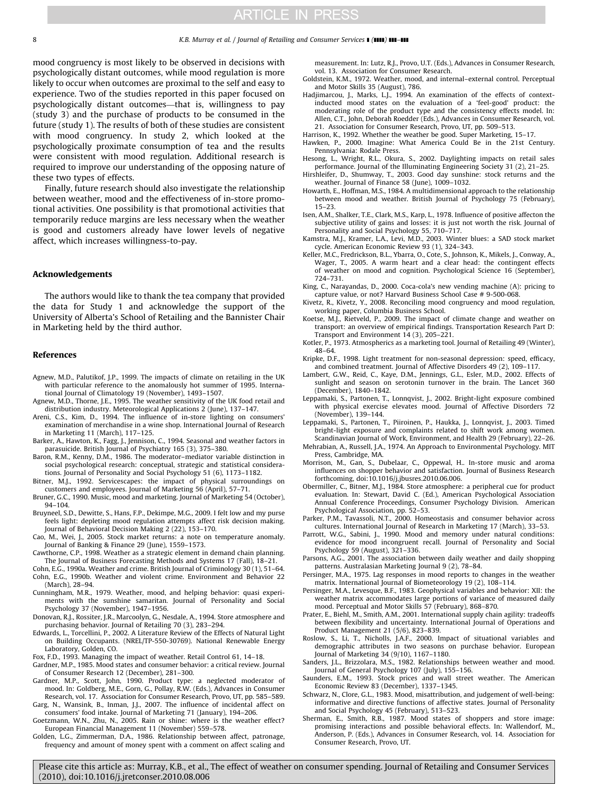#### <span id="page-7-0"></span>8 **K.B. Murray et al. / Journal of Retailing and Consumer Services 1 (1111) 111-111**

mood congruency is most likely to be observed in decisions with psychologically distant outcomes, while mood regulation is more likely to occur when outcomes are proximal to the self and easy to experience. Two of the studies reported in this paper focused on psychologically distant outcomes—that is, willingness to pay (study 3) and the purchase of products to be consumed in the future (study 1). The results of both of these studies are consistent with mood congruency. In study 2, which looked at the psychologically proximate consumption of tea and the results were consistent with mood regulation. Additional research is required to improve our understanding of the opposing nature of these two types of effects.

Finally, future research should also investigate the relationship between weather, mood and the effectiveness of in-store promotional activities. One possibility is that promotional activities that temporarily reduce margins are less necessary when the weather is good and customers already have lower levels of negative affect, which increases willingness-to-pay.

## Acknowledgements

The authors would like to thank the tea company that provided the data for Study 1 and acknowledge the support of the University of Alberta's School of Retailing and the Bannister Chair in Marketing held by the third author.

#### References

- Agnew, M.D., Palutikof, J.P., 1999. The impacts of climate on retailing in the UK with particular reference to the anomalously hot summer of 1995. International Journal of Climatology 19 (November), 1493–1507.
- Agnew, M.D., Thorne, J.E., 1995. The weather sensitivity of the UK food retail and distribution industry. Meteorological Applications 2 (June), 137–147.
- Areni, C.S., Kim, D., 1994. The influence of in-store lighting on consumers' examination of merchandise in a wine shop. International Journal of Research in Marketing 11 (March), 117–125.
- Barker, A., Hawton, K., Fagg, J., Jennison, C., 1994. Seasonal and weather factors in parasuicide. British Journal of Psychiatry 165 (3), 375–380.
- Baron, R.M., Kenny, D.M., 1986. The moderator–mediator variable distinction in social psychological research: conceptual, strategic and statistical considerations. Journal of Personality and Social Psychology 51 (6), 1173–1182.
- Bitner, M.J., 1992. Servicescapes: the impact of physical surroundings on customers and employees. Journal of Marketing 56 (April), 57–71.
- Bruner, G.C., 1990. Music, mood and marketing. Journal of Marketing 54 (October), 94–104.
- Bruyneel, S.D., Dewitte, S., Hans, F.P., Dekimpe, M.G., 2009. I felt low and my purse feels light: depleting mood regulation attempts affect risk decision making. Journal of Behavioral Decision Making 2 (22), 153–170.
- Cao, M., Wei, J., 2005. Stock market returns: a note on temperature anomaly. Journal of Banking & Finance 29 (June), 1559–1573.
- Cawthorne, C.P., 1998. Weather as a strategic element in demand chain planning. The Journal of Business Forecasting Methods and Systems 17 (Fall), 18–21.
- Cohn, E.G., 1990a. Weather and crime. British Journal of Criminology 30 (1), 51–64. Cohn, E.G., 1990b. Weather and violent crime. Environment and Behavior 22 (March), 28–94.
- Cunningham, M.R., 1979. Weather, mood, and helping behavior: quasi experiments with the sunshine samaritan. Journal of Personality and Social Psychology 37 (November), 1947–1956.
- Donovan, R.J., Rossiter, J.R., Marcoolyn, G., Nesdale, A., 1994. Store atmosphere and purchasing behavior. Journal of Retailing 70 (3), 283–294.
- Edwards, L., Torcellini, P., 2002. A Literature Review of the Effects of Natural Light on Building Occupants. (NREL/TP-550-30769). National Renewable Energy Laboratory, Golden, CO.
- Fox, F.D., 1993. Managing the impact of weather. Retail Control 61, 14–18.
- Gardner, M.P., 1985. Mood states and consumer behavior: a critical review. Journal of Consumer Research 12 (December), 281–300.
- Gardner, M.P., Scott, John, 1990. Product type: a neglected moderator of mood. In: Goldberg, M.E., Gorn, G., Pollay, R.W. (Eds.), Advances in Consumer Research, vol. 17. Association for Consumer Research, Provo, UT, pp. 585–589.
- Garg, N., Wansink, B., Inman, J.J., 2007. The influence of incidental affect on consumers' food intake. Journal of Marketing 71 (January), 194–206.
- Goetzmann, W.N., Zhu, N., 2005. Rain or shine: where is the weather effect? European Financial Management 11 (November) 559–578.
- Golden, L.G., Zimmerman, D.A., 1986. Relationship between affect, patronage, frequency and amount of money spent with a comment on affect scaling and

measurement. In: Lutz, R.J., Provo, U.T. (Eds.), Advances in Consumer Research, vol. 13. Association for Consumer Research.

- Goldstein, K.M., 1972. Weather, mood, and internal–external control. Perceptual and Motor Skills 35 (August), 786.
- Hadjimarcou, J., Marks, L.J., 1994. An examination of the effects of contextinducted mood states on the evaluation of a 'feel-good' product: the moderating role of the product type and the consistency effects model. In: Allen, C.T., John, Deborah Roedder (Eds.), Advances in Consumer Research, vol. 21. Association for Consumer Research, Provo, UT, pp. 509–513.
- Harrison, K., 1992. Whether the weather be good. Super Marketing, 15–17.
- Hawken, P., 2000. Imagine: What America Could Be in the 21st Century. Pennsylvania: Rodale Press.
- Hesong, L., Wright, R.L., Okura, S., 2002. Daylighting impacts on retail sales performance. Journal of the Illuminating Engineering Society 31 (2), 21–25. Hirshleifer, D., Shumway, T., 2003. Good day sunshine: stock returns and the
- weather. Journal of Finance 58 (June), 1009–1032.
- Howarth, E., Hoffman, M.S., 1984. A multidimensional approach to the relationship between mood and weather. British Journal of Psychology 75 (February), 15–23.
- Isen, A.M., Shalker, T.E., Clark, M.S., Karp, L., 1978. Influence of positive affecton the subjective utility of gains and losses: it is just not worth the risk. Journal of Personality and Social Psychology 55, 710–717.
- Kamstra, M.J., Kramer, L.A., Levi, M.D., 2003. Winter blues: a SAD stock market cycle. American Economic Review 93 (1), 324–343.
- Keller, M.C., Fredrickson, B.L., Ybarra, O., Cote, S., Johnson, K., Mikels, J., Conway, A., Wager, T., 2005. A warm heart and a clear head: the contingent effects of weather on mood and cognition. Psychological Science 16 (September), 724–731.
- King, C., Narayandas, D., 2000. Coca-cola's new vending machine (A): pricing to capture value, or not? Harvard Business School Case # 9-500-068.
- Kivetz, R., Kivetz, Y., 2008. Reconciling mood congruency and mood regulation, working paper, Columbia Business School.
- Koetse, M.J., Rietveld, P., 2009. The impact of climate change and weather on transport: an overview of empirical findings. Transportation Research Part D: Transport and Environment 14 (3), 205–221.
- Kotler, P., 1973. Atmospherics as a marketing tool. Journal of Retailing 49 (Winter), 48–64.
- Kripke, D.F., 1998. Light treatment for non-seasonal depression: speed, efficacy, and combined treatment. Journal of Affective Disorders 49 (2), 109–117.
- Lambert, G.W., Reid, C., Kaye, D.M., Jennings, G.L., Esler, M.D., 2002. Effects of sunlight and season on serotonin turnover in the brain. The Lancet 360 (December), 1840–1842.
- Leppamaki, S., Partonen, T., Lonnqvist, J., 2002. Bright-light exposure combined with physical exercise elevates mood. Journal of Affective Disorders 72 (November), 139–144.

Leppamaki, S., Partonen, T., Piiroinen, P., Haukka, J., Lonnqvist, J., 2003. Timed bright-light exposure and complaints related to shift work among women. Scandinavian Journal of Work, Environment, and Health 29 (February), 22–26.

Mehrabian, A., Russell, J.A., 1974. An Approach to Environmental Psychology. MIT Press, Cambridge, MA.

- Morrison, M., Gan, S., Dubelaar, C., Oppewal, H.. In-store music and aroma influences on shopper behavior and satisfaction. Journal of Business Research forthcoming, doi[:10.1016/j.jbusres.2010.06.006.](10.1016/j.jbusres.2010.06.006)
- Obermiller, C., Bitner, M.J., 1984. Store atmosphere: a peripheral cue for product evaluation. In: Stewart, David C. (Ed.), American Psychological Association Annual Conference Proceedings, Consumer Psychology Division. American Psychological Association, pp. 52–53.
- Parker, P.M., Tavassoli, N.T., 2000. Homeostasis and consumer behavior across cultures. International Journal of Research in Marketing 17 (March), 33–53.
- Parrott, W.G., Sabini, J., 1990. Mood and memory under natural conditions: evidence for mood incongruent recall. Journal of Personality and Social Psychology 59 (August), 321–336.
- Parsons, A.G., 2001. The association between daily weather and daily shopping patterns. Australasian Marketing Journal 9 (2), 78–84.
- Persinger, M.A., 1975. Lag responses in mood reports to changes in the weather matrix. International Journal of Biometeorology 19 (2), 108–114.
- Persinger, M.A., Levesque, B.F., 1983. Geophysical variables and behavior: XII: the weather matrix accommodates large portions of variance of measured daily mood. Perceptual and Motor Skills 57 (February), 868–870.
- Prater, E., Biehl, M., Smith, A.M., 2001. International supply chain agility: tradeoffs between flexibility and uncertainty. International Journal of Operations and Product Management 21 (5/6), 823–839.
- Roslow, S., Li, T., Nicholls, J.A.F., 2000. Impact of situational variables and demographic attributes in two seasons on purchase behavior. European Journal of Marketing 34 (9/10), 1167–1180.
- Sanders, J.L., Brizzolara, M.S., 1982. Relationships between weather and mood. Journal of General Psychology 107 (July), 155–156.
- Saunders, E.M., 1993. Stock prices and wall street weather. The American Economic Review 83 (December), 1337–1345.
- Schwarz, N., Clore, G.L., 1983. Mood, misattribution, and judgement of well-being: informative and directive functions of affective states. Journal of Personality and Social Psychology 45 (February), 513–523.
- Sherman, E., Smith, R.B., 1987. Mood states of shoppers and store image: promising interactions and possible behavioral effects. In: Wallendorf, M., Anderson, P. (Eds.), Advances in Consumer Research, vol. 14. Association for Consumer Research, Provo, UT.